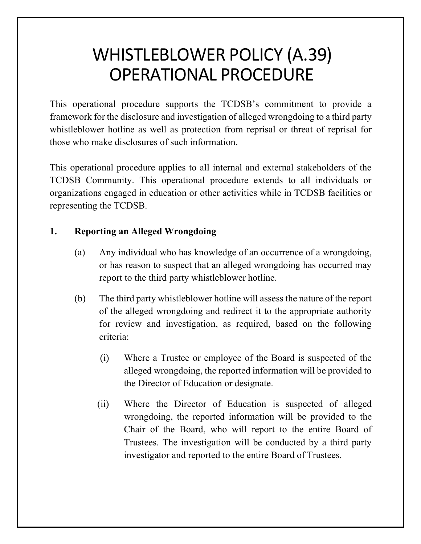# WHISTLEBLOWER POLICY (A.39) OPERATIONAL PROCEDURE

This operational procedure supports the TCDSB's commitment to provide a framework for the disclosure and investigation of alleged wrongdoing to a third party whistleblower hotline as well as protection from reprisal or threat of reprisal for those who make disclosures of such information.

This operational procedure applies to all internal and external stakeholders of the TCDSB Community. This operational procedure extends to all individuals or organizations engaged in education or other activities while in TCDSB facilities or representing the TCDSB.

## **1. Reporting an Alleged Wrongdoing**

- (a) Any individual who has knowledge of an occurrence of a wrongdoing, or has reason to suspect that an alleged wrongdoing has occurred may report to the third party whistleblower hotline.
- (b) The third party whistleblower hotline will assess the nature of the report of the alleged wrongdoing and redirect it to the appropriate authority for review and investigation, as required, based on the following criteria:
	- (i) Where a Trustee or employee of the Board is suspected of the alleged wrongdoing, the reported information will be provided to the Director of Education or designate.
	- (ii) Where the Director of Education is suspected of alleged wrongdoing, the reported information will be provided to the Chair of the Board, who will report to the entire Board of Trustees. The investigation will be conducted by a third party investigator and reported to the entire Board of Trustees.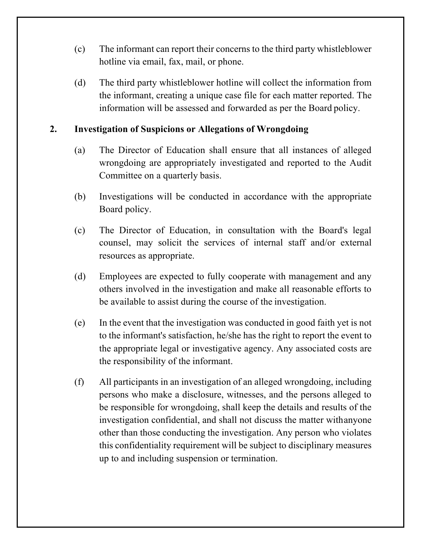- (c) The informant can report their concerns to the third party whistleblower hotline via email, fax, mail, or phone.
- (d) The third party whistleblower hotline will collect the information from the informant, creating a unique case file for each matter reported. The information will be assessed and forwarded as per the Board policy.

#### **2. Investigation of Suspicions or Allegations of Wrongdoing**

- (a) The Director of Education shall ensure that all instances of alleged wrongdoing are appropriately investigated and reported to the Audit Committee on a quarterly basis.
- (b) Investigations will be conducted in accordance with the appropriate Board policy.
- (c) The Director of Education, in consultation with the Board's legal counsel, may solicit the services of internal staff and/or external resources as appropriate.
- (d) Employees are expected to fully cooperate with management and any others involved in the investigation and make all reasonable efforts to be available to assist during the course of the investigation.
- (e) In the event that the investigation was conducted in good faith yet is not to the informant's satisfaction, he/she has the right to report the event to the appropriate legal or investigative agency. Any associated costs are the responsibility of the informant.
- (f) All participants in an investigation of an alleged wrongdoing, including persons who make a disclosure, witnesses, and the persons alleged to be responsible for wrongdoing, shall keep the details and results of the investigation confidential, and shall not discuss the matter withanyone other than those conducting the investigation. Any person who violates this confidentiality requirement will be subject to disciplinary measures up to and including suspension or termination.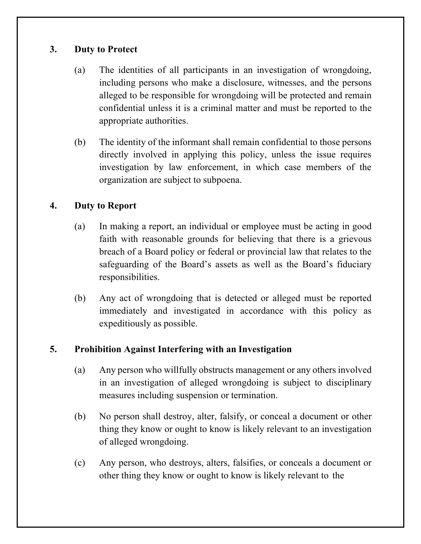#### **3. Duty to Protect**

- (a) The identities of all participants in an investigation of wrongdoing, including persons who make a disclosure, witnesses, and the persons alleged to be responsible for wrongdoing will be protected and remain confidential unless it is a criminal matter and must be reported to the appropriate authorities.
- (b) The identity of the informant shall remain confidential to those persons directly involved in applying this policy, unless the issue requires investigation by law enforcement, in which case members of the organization are subject to subpoena.

## **4. Duty to Report**

- (a) In making a report, an individual or employee must be acting in good faith with reasonable grounds for believing that there is a grievous breach of a Board policy or federal or provincial law that relates to the safeguarding of the Board's assets as well as the Board's fiduciary responsibilities.
- (b) Any act of wrongdoing that is detected or alleged must be reported immediately and investigated in accordance with this policy as expeditiously as possible.

#### **5. Prohibition Against Interfering with an Investigation**

- (a) Any person who willfully obstructs management or any others involved in an investigation of alleged wrongdoing is subject to disciplinary measures including suspension or termination.
- (b) No person shall destroy, alter, falsify, or conceal a document or other thing they know or ought to know is likely relevant to an investigation of alleged wrongdoing.
- (c) Any person, who destroys, alters, falsifies, or conceals a document or other thing they know or ought to know is likely relevant to the